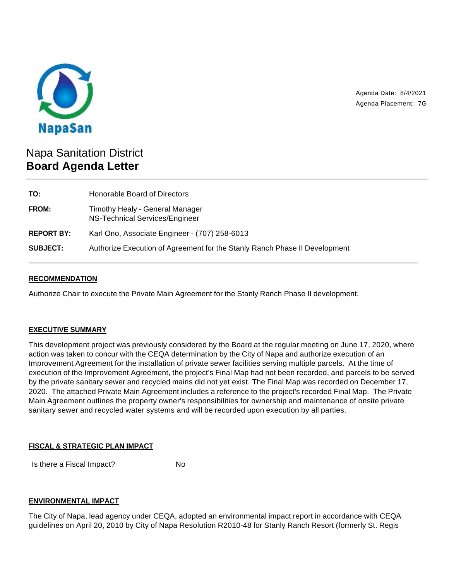

Agenda Date: 8/4/2021 Agenda Placement: 7G

# Napa Sanitation District **Board Agenda Letter**

| Honorable Board of Directors                                               |
|----------------------------------------------------------------------------|
| Timothy Healy - General Manager<br>NS-Technical Services/Engineer          |
| Karl Ono, Associate Engineer - (707) 258-6013                              |
| Authorize Execution of Agreement for the Stanly Ranch Phase II Development |
|                                                                            |

## **RECOMMENDATION**

Authorize Chair to execute the Private Main Agreement for the Stanly Ranch Phase II development.

### **EXECUTIVE SUMMARY**

This development project was previously considered by the Board at the regular meeting on June 17, 2020, where action was taken to concur with the CEQA determination by the City of Napa and authorize execution of an Improvement Agreement for the installation of private sewer facilities serving multiple parcels. At the time of execution of the Improvement Agreement, the project's Final Map had not been recorded, and parcels to be served by the private sanitary sewer and recycled mains did not yet exist. The Final Map was recorded on December 17, 2020. The attached Private Main Agreement includes a reference to the project's recorded Final Map. The Private Main Agreement outlines the property owner's responsibilities for ownership and maintenance of onsite private sanitary sewer and recycled water systems and will be recorded upon execution by all parties.

### **FISCAL & STRATEGIC PLAN IMPACT**

Is there a Fiscal Impact? No

## **ENVIRONMENTAL IMPACT**

The City of Napa, lead agency under CEQA, adopted an environmental impact report in accordance with CEQA guidelines on April 20, 2010 by City of Napa Resolution R2010-48 for Stanly Ranch Resort (formerly St. Regis